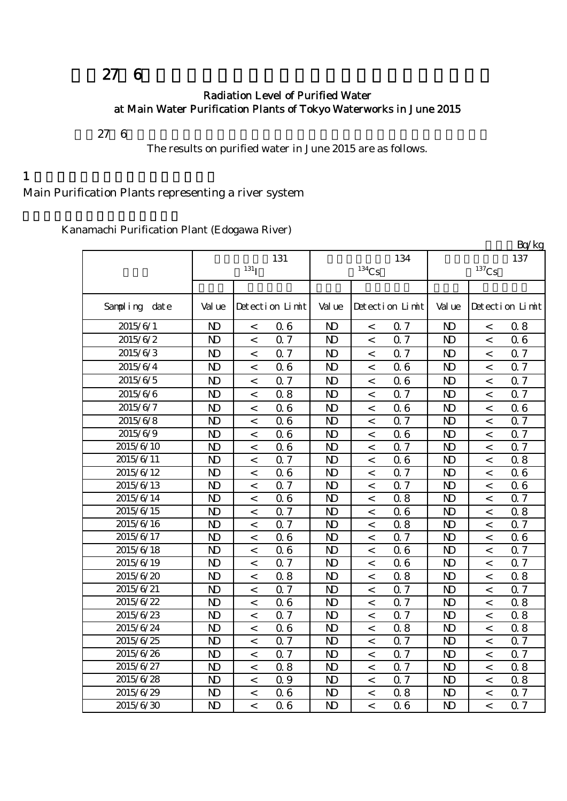# 平成27年6月の主要浄水場の水道水の放射能測定結果について

#### Radiation Level of Purified Water at Main Water Purification Plants of Tokyo Waterworks in June 2015

 $276$ 

The results on purified water in June 2015 are as follows.

#### $1$

## Main Purification Plants representing a river system

Kanamachi Purification Plant (Edogawa River)

|                        |                |                          |                 |                |                     |                 |                |                          | Bq/kg           |
|------------------------|----------------|--------------------------|-----------------|----------------|---------------------|-----------------|----------------|--------------------------|-----------------|
|                        |                |                          | 131             |                |                     | 134             |                |                          | 137             |
|                        |                | $131$ <sub>I</sub>       |                 |                | $^{134}\mathrm{Cs}$ |                 |                | $^{137}\mathrm{Cs}$      |                 |
|                        |                |                          |                 |                |                     |                 |                |                          |                 |
| Sampling date          | Val ue         |                          | Detection Limit | Val ue         |                     | Detection Limit | Val ue         |                          | Detection Limit |
| 2015/6/1               | N <sub>D</sub> | $\,<\,$                  | 06              | N <sub>D</sub> | $\,<$               | 0.7             | N <sub>D</sub> | $\,<\,$                  | 0.8             |
| 2015/6/2               | $\mathbf{D}$   | $\overline{\phantom{a}}$ | 0.7             | $\mathbf{D}$   | $\,<$               | 0.7             | N <sub>D</sub> | $\overline{\phantom{a}}$ | 06              |
| 2015/6/3               | N <sub>D</sub> | $\lt$                    | 0.7             | $\mathbf{D}$   | $\,<$               | 0.7             | $\mathbf{D}$   | $\overline{a}$           | 0.7             |
| 2015/6/4               | N <sub>D</sub> | $\,<\,$                  | 06              | N <sub>D</sub> | $\,<$               | 06              | N <sub>D</sub> | $\,<\,$                  | 0.7             |
| 2015/6/5               | N <sub>D</sub> | $\lt$                    | 0.7             | N <sub>D</sub> | $\,<$               | 06              | N <sub>D</sub> | $\,<\,$                  | 0.7             |
| 2015/6/6               | N <sub>D</sub> | $\,<\,$                  | 0.8             | $\mathbf{D}$   | $\,<$               | 0.7             | N <sub>D</sub> | $\,<\,$                  | 0.7             |
| 2015/6/7               | N <sub>D</sub> | $\lt$                    | 06              | $\mathbf{D}$   | $\,<$               | 06              | $\mathbf{D}$   | $\lt$                    | 06              |
| 2015/6/8               | N <sub>D</sub> | $\overline{\phantom{0}}$ | 06              | N <sub>D</sub> | $\,<$               | 0.7             | N <sub>D</sub> | $\,<\,$                  | Q 7             |
| $2015/6/\overline{9}$  | N <sub>D</sub> | $\overline{\phantom{a}}$ | 06              | N <sub>D</sub> | $\overline{a}$      | 06              | N <sub>D</sub> | $\overline{\phantom{a}}$ | 0.7             |
| 2015/6/10              | N <sub>D</sub> | $\,<\,$                  | 06              | N <sub>D</sub> | $\lt$               | Q <sub>7</sub>  | N <sub>D</sub> | $\,<\,$                  | Q 7             |
| 2015/6/11              | N <sub>D</sub> | $\overline{\phantom{a}}$ | 0.7             | N <sub>D</sub> | $\overline{a}$      | 06              | N <sub>D</sub> | $\,<$                    | 0.8             |
| 2015/6/12              | N <sub>D</sub> | $\lt$                    | 06              | $\mathbf{D}$   | $\,<\,$             | 0.7             | N <sub>D</sub> | $\,<\,$                  | 06              |
| 2015/6/13              | N <sub>D</sub> | $\,<\,$                  | Q 7             | N <sub>D</sub> | $\,<\,$             | Q 7             | N <sub>D</sub> | $\lt$                    | 06              |
| $2015/6/\overline{14}$ | N <sub>D</sub> | $\,<\,$                  | 06              | $\mathbf{D}$   | $\lt$               | 0.8             | N <sub>D</sub> | $\overline{a}$           | 0.7             |
| 2015/6/15              | N <sub>D</sub> | $\lt$                    | 0.7             | N <sub>D</sub> | $\,<$               | 06              | N <sub>D</sub> | $\lt$                    | 0.8             |
| 2015/6/16              | N <sub>D</sub> | $\,<\,$                  | 0.7             | N <sub>D</sub> | $\,<\,$             | 0.8             | N <sub>D</sub> | $\,<\,$                  | 0.7             |
| 2015/6/17              | N <sub>D</sub> | $\,<\,$                  | 06              | $\mathbf{D}$   | $\,<$               | Q 7             | N <sub>D</sub> | $\,<\,$                  | 06              |
| 2015/6/18              | N <sub>D</sub> | $\,<\,$                  | 06              | N <sub>D</sub> | $\,<\,$             | 06              | N <sub>D</sub> | $\,<\,$                  | 0.7             |
| 2015/6/19              | N <sub>D</sub> | $\,<\,$                  | 0.7             | N <sub>D</sub> | $\,<$               | 06              | N <sub>D</sub> | $\,<\,$                  | 0.7             |
| 2015/6/20              | N <sub>D</sub> | $\,<\,$                  | 0.8             | N <sub>D</sub> | $\,<$               | 0.8             | N <sub>D</sub> | $\,<\,$                  | 0.8             |
| 2015/6/21              | N <sub>D</sub> | $\,<\,$                  | 0.7             | N <sub>D</sub> | $\,<$               | 0.7             | N <sub>D</sub> | $\,<\,$                  | 0.7             |
| 2015/6/22              | N <sub>D</sub> | $\,<\,$                  | 06              | $\mathbf{D}$   | $\,<$               | 0.7             | $\mathbf{D}$   | $\,<\,$                  | 0.8             |
| 2015/6/23              | N <sub>D</sub> | $\,<\,$                  | 0.7             | $\mathbf{D}$   | $\,<$               | Q <sub>7</sub>  | $\mathbf{D}$   | $\,<\,$                  | 0.8             |
| 2015/6/24              | N <sub>D</sub> | $\,<\,$                  | 06              | N <sub>D</sub> | $\,<$               | 0.8             | N <sub>D</sub> | $\lt$                    | 0.8             |
| 2015/6/25              | N <sub>D</sub> | $\,<\,$                  | 0.7             | N <sub>D</sub> | $\,<$               | 0.7             | N <sub>D</sub> | $\,<\,$                  | 0.7             |
| 2015/6/26              | N <sub>D</sub> | $\,<\,$                  | 0.7             | N <sub>D</sub> | $\,<$               | Q <sub>7</sub>  | N <sub>D</sub> | $\lt$                    | Q 7             |
| 2015/6/27              | N <sub>D</sub> | $\,<\,$                  | 0.8             | N <sub>D</sub> | $\,<\,$             | 0.7             | N <sub>D</sub> | $\lt$                    | 0.8             |
| 2015/6/28              | $\mathbf{D}$   | $\overline{\phantom{0}}$ | 0.9             | $\mathbf{D}$   | $\,<$               | Q <sub>7</sub>  | $\mathbf{D}$   | $\,<\,$                  | 0.8             |
| 2015/6/29              | N <sub>D</sub> | $\,<\,$                  | 06              | N <sub>D</sub> | $\,<$               | 0.8             | N <sub>D</sub> | $\,<\,$                  | 0.7             |
| 2015/6/30              | N <sub>D</sub> | $\overline{\phantom{a}}$ | 06              | N <sub>D</sub> | $\,<$               | 06              | N <sub>D</sub> | $\overline{\phantom{a}}$ | <b>Q</b> 7      |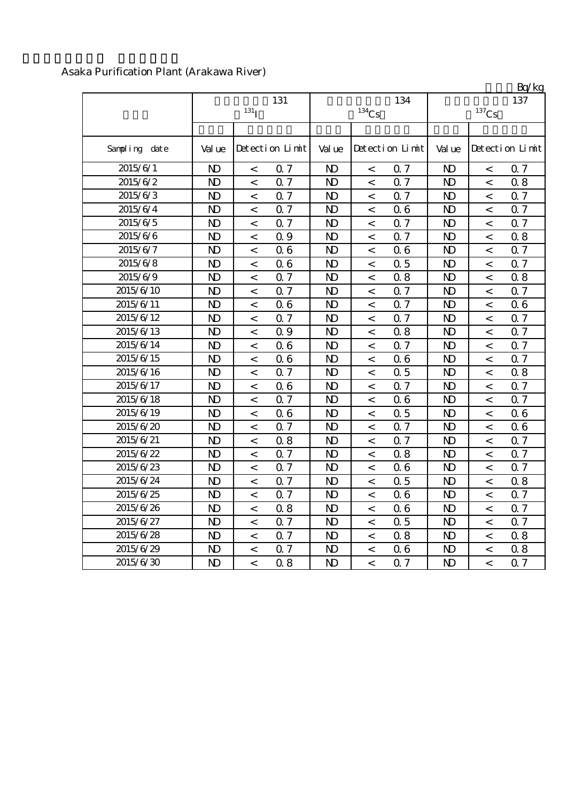|               |                  |         |                 |                |                          |                 |                     |                          | Bq/kg           |  |
|---------------|------------------|---------|-----------------|----------------|--------------------------|-----------------|---------------------|--------------------------|-----------------|--|
|               |                  | 131     |                 |                | 134                      | 137             |                     |                          |                 |  |
|               | 131 <sub>I</sub> |         |                 |                | $^{134}\mathrm{Cs}$      |                 | $^{137}\mathrm{Cs}$ |                          |                 |  |
| Sampling date | Val ue           |         | Detection Limit | Val ue         |                          | Detection Limit | Val ue              |                          | Detection Limit |  |
| 2015/6/1      | $\mathbf{D}$     | $\,<\,$ | 0.7             | N <sub>D</sub> | $\,<\,$                  | 0.7             | $\mathbf{D}$        | $\,<\,$                  | 0.7             |  |
| 2015/6/2      | $\mathbf{D}$     | $\,<$   | 0.7             | $\mathbf{D}$   | $\lt$                    | 0.7             | $\mathbf{D}$        | $\,<\,$                  | 0.8             |  |
| 2015/6/3      | $\mathbf{D}$     | $\,<$   | Q 7             | $\mathbf{D}$   | $\overline{\phantom{a}}$ | 0.7             | $\mathbf{D}$        | $\overline{\phantom{0}}$ | 0.7             |  |
| 2015/6/4      | $\mathbf{D}$     | $\lt$   | Q 7             | $\mathbf{D}$   | $\,<$                    | 06              | $\mathbf{D}$        | $\lt$                    | Q 7             |  |
| 2015/6/5      | $\mathbf{D}$     | $\,<$   | Q 7             | $\mathbf{D}$   | $\,<\,$                  | Q <sub>7</sub>  | $\mathbf{D}$        | $\lt$                    | 0.7             |  |
| 2015/6/6      | $\mathbf{D}$     | $\lt$   | Q 9             | $\mathbf{D}$   | $\lt$                    | 0.7             | $\mathbf{D}$        | $\,<\,$                  | 0.8             |  |
| 2015/6/7      | $\mathbf{D}$     | $\lt$   | 06              | $\mathbf{D}$   | $\,<\,$                  | 06              | $\mathbf{D}$        | $\,<\,$                  | <b>Q</b> 7      |  |
| 2015/6/8      | $\mathbf{D}$     | $\,<$   | 06              | $\mathbf{D}$   | $\,<\,$                  | 0.5             | $\mathbf{D}$        | $\,<\,$                  | Q 7             |  |
| 2015/6/9      | $\mathbf{D}$     | $\,<\,$ | 0.7             | $\mathbf{D}$   | $\,<\,$                  | 0.8             | $\mathbf{D}$        | $\,<\,$                  | 0.8             |  |
| 2015/6/10     | $\mathbf{D}$     | $\,<\,$ | 0.7             | N <sub>D</sub> | $\,<\,$                  | 0.7             | $\mathbf{D}$        | $\,<\,$                  | 0.7             |  |
| 2015/6/11     | $\mathbf{D}$     | $\,<$   | 06              | $\mathbf{D}$   | $\,<\,$                  | 0.7             | $\mathbf{D}$        | $\,<\,$                  | 06              |  |
| 2015/6/12     | $\mathbf{D}$     | $\,<$   | 0.7             | $\mathbf{D}$   | $\,<$                    | Q 7             | $\mathbf{D}$        | $\,<$                    | 0.7             |  |
| 2015/6/13     | $\mathbf{D}$     | $\,<\,$ | Q 9             | N <sub>D</sub> | $\,<$                    | 0.8             | $\mathbf{D}$        | $\,<\,$                  | <b>Q</b> 7      |  |
| 2015/6/14     | $\mathbf{D}$     | $\,<$   | 06              | $\mathbf{D}$   | $\overline{\phantom{a}}$ | 0.7             | $\mathbf{D}$        | $\overline{\phantom{0}}$ | 0.7             |  |
| 2015/6/15     | $\mathbf{D}$     | $\,<$   | 06              | $\mathbf{D}$   | $\overline{\phantom{a}}$ | 06              | $\mathbf{D}$        | $\overline{a}$           | <b>Q</b> 7      |  |
| 2015/6/16     | $\mathbf{D}$     | $\lt$   | Q 7             | $\mathbf{D}$   | $\lt$                    | 0.5             | $\mathbf{D}$        | $\,<\,$                  | 0.8             |  |
| 2015/6/17     | $\mathbf{D}$     | $\,<$   | 06              | $\mathbf{D}$   | $\,<\,$                  | Q 7             | $\mathbf{D}$        | $\,<\,$                  | $\Omega$ 7      |  |
| 2015/6/18     | $\mathbf{D}$     | $\,<$   | 0.7             | $\mathbf{D}$   | $\lt$                    | 06              | $\mathbf{D}$        | $\,<$                    | 0.7             |  |
| 2015/6/19     | $\mathbf{D}$     | $\,<\,$ | 06              | $\mathbf{D}$   | $\,<$                    | 0.5             | $\mathbf{D}$        | $\,<\,$                  | 06              |  |
| 2015/6/20     | $\mathbf{D}$     | $\,<$   | 0.7             | $\mathbf{D}$   | $\,<$                    | 0.7             | $\mathbf{D}$        | $\,<\,$                  | 06              |  |
| 2015/6/21     | $\mathbf{D}$     | $\,<\,$ | 0.8             | $\mathbf{D}$   | $\,<\,$                  | 0.7             | $\mathbf{D}$        | $\,<\,$                  | 0.7             |  |
| 2015/6/22     | $\mathbf{D}$     | $\,<\,$ | 0.7             | N <sub>D</sub> | $\,<\,$                  | 0.8             | $\mathbf{D}$        | $\,<\,$                  | 0.7             |  |
| 2015/6/23     | $\mathbf{D}$     | $\,<$   | 0.7             | $\mathbf{D}$   | $\lt$                    | 06              | $\mathbf{D}$        | $\,<\,$                  | 0.7             |  |
| 2015/6/24     | $\mathbf{D}$     | $\,<$   | 0.7             | $\mathbf{D}$   | $\,<$                    | 0.5             | $\mathbf{D}$        | $\,<$                    | 0.8             |  |
| 2015/6/25     | $\mathbf{D}$     | $\,<\,$ | 0.7             | N <sub>D</sub> | $\,<$                    | 06              | $\mathbf{D}$        | $\,<\,$                  | <b>Q</b> 7      |  |
| 2015/6/26     | $\mathbf{D}$     | $\,<$   | 0.8             | $\mathbf{N}$   | $\,<$                    | 06              | $\mathbf{D}$        | $\,<\,$                  | 0.7             |  |
| 2015/6/27     | $\mathbf{D}$     | $\,<$   | 0.7             | $\mathbf{D}$   | $\overline{a}$           | 0.5             | $\mathbf{D}$        | $\overline{\phantom{0}}$ | Q 7             |  |
| 2015/6/28     | $\mathbf{D}$     | $\,<\,$ | 0.7             | $\mathbf{D}$   | $\,<\,$                  | 0.8             | $\mathbf{D}$        | $\,<\,$                  | 0.8             |  |
| 2015/6/29     | $\mathbf{D}$     | $\,<\,$ | Q 7             | $\mathbf{D}$   | $\,<\,$                  | 06              | $\mathbf{D}$        | $\,<\,$                  | 0.8             |  |
| 2015/6/30     | $\mathbf{D}$     | $\,<$   | 0.8             | $\mathbf{D}$   | $\,<$                    | 0.7             | $\mathbf{D}$        | $\,<$                    | Q 7             |  |

## Asaka Purification Plant (Arakawa River)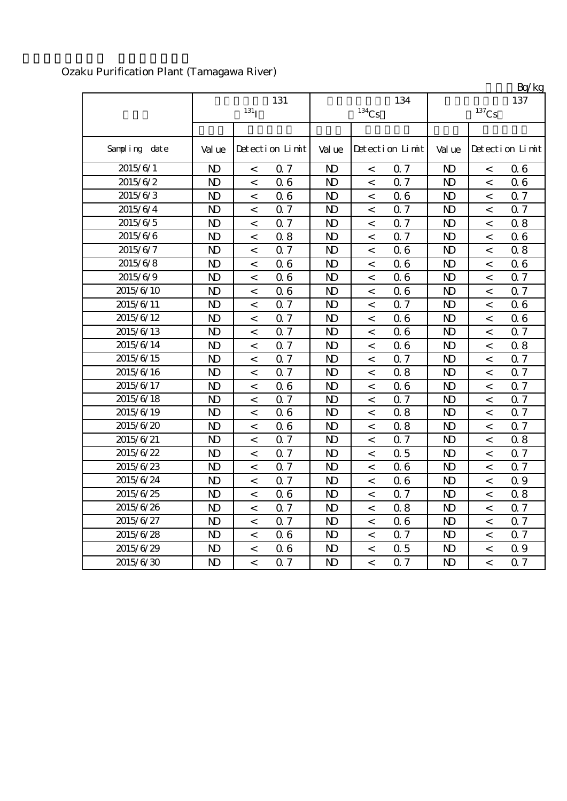|               |                |                  |                 |                |                          |                 |                |                          | Bq/kg           |
|---------------|----------------|------------------|-----------------|----------------|--------------------------|-----------------|----------------|--------------------------|-----------------|
|               |                |                  | 131             |                |                          | 134             |                |                          | 137             |
|               |                | 131 <sub>T</sub> |                 |                | $134$ Cs                 |                 |                | $^{137}\mathrm{Cs}$      |                 |
|               |                |                  |                 |                |                          |                 |                |                          |                 |
| Sampling date | Val ue         |                  | Detection Limit | Val ue         |                          | Detection Limit | Val ue         |                          | Detection Limit |
| 2015/6/1      | $\mathbf{D}$   | $\,<$            | 0.7             | N <sub>D</sub> | $\,<$                    | Q <sub>7</sub>  | $\mathbf{N}$   | $\,<\,$                  | 06              |
| 2015/6/2      | $\mathbf{D}$   | $\,<$            | 06              | $\mathbf{D}$   | $\lt$                    | Q <sub>7</sub>  | $\mathbf{D}$   | $\,<\,$                  | 06              |
| 2015/6/3      | $\mathbf{D}$   | $\,<\,$          | 06              | $\mathbf{D}$   | $\,<$                    | 06              | $\mathbf{D}$   | $\,<\,$                  | 0.7             |
| 2015/6/4      | $\mathbf{D}$   | $\,<$            | 0.7             | $\mathbf{D}$   | $\,<$                    | 0.7             | $\mathbf{D}$   | $\,<\,$                  | 0.7             |
| 2015/6/5      | N <sub>D</sub> | $\,<\,$          | 0.7             | $\mathbf{D}$   | $\overline{\phantom{0}}$ | Q <sub>7</sub>  | $\mathbf{D}$   | $\,<\,$                  | 0.8             |
| 2015/6/6      | N <sub>D</sub> | $\,<\,$          | 0.8             | $\mathbf{D}$   | $\,<$                    | 0.7             | N <sub>D</sub> | $\,<\,$                  | 06              |
| 2015/6/7      | $\mathbf{D}$   | $\lt$            | Q 7             | N <sub>D</sub> | $\,<$                    | 06              | $\mathbf{D}$   | $\lt$                    | 0.8             |
| 2015/6/8      | $\mathbf{D}$   | $\,<\,$          | 06              | $\mathbf{D}$   | $\,<$                    | 06              | $\mathbf{D}$   | $\,<\,$                  | 06              |
| 2015/6/9      | $\mathbf{D}$   | $\,<\,$          | 06              | N <sub>D</sub> | $\,<$                    | 06              | $\mathbf{D}$   | $\,<\,$                  | 0.7             |
| 2015/6/10     | $\mathbf{D}$   | $\,<$            | 06              | $\mathbf{D}$   | $\,<$                    | 06              | $\mathbf{D}$   | $\overline{\phantom{0}}$ | <b>Q</b> 7      |
| 2015/6/11     | $\mathbf{D}$   | $\lt$            | 0.7             | N <sub>D</sub> | $\,<\,$                  | 0.7             | $\mathbf{D}$   | $\,<$                    | 06              |
| 2015/6/12     | $\mathbf{D}$   | $\,<$            | 0.7             | N <sub>D</sub> | $\,<\,$                  | 06              | $\mathbf{D}$   | $\,<\,$                  | 06              |
| 2015/6/13     | $\mathbf{D}$   | $\,<$            | <b>Q</b> 7      | N <sub>D</sub> | $\,<$                    | 06              | $\mathbf{D}$   | $\,<\,$                  | Q 7             |
| 2015/6/14     | $\mathbf{D}$   | $\,<$            | Q 7             | $\mathbf{D}$   | $\lt$                    | 06              | $\mathbf{D}$   | $\,<\,$                  | 0.8             |
| 2015/6/15     | $\mathbf{D}$   | $\,<$            | Q 7             | $\mathbf{D}$   | $\,<$                    | Q 7             | $\mathbf{D}$   | $\,<\,$                  | 0.7             |
| 2015/6/16     | $\mathbf{D}$   | $\,<$            | 0.7             | $\mathbf{D}$   | $\,<\,$                  | 0.8             | $\mathbf{D}$   | $\,<\,$                  | 0.7             |
| 2015/6/17     | $\mathbf{D}$   | $\,<\,$          | 06              | $\mathbf{D}$   | $\,<\,$                  | 06              | $\mathbf{D}$   | $\,<\,$                  | 0.7             |
| 2015/6/18     | $\mathbf{D}$   | $\,<\,$          | 0.7             | N <sub>D</sub> | $\,<$                    | 0.7             | $\mathbf{D}$   | $\,<\,$                  | Q 7             |
| 2015/6/19     | $\mathbf{D}$   | $\,<$            | 06              | N <sub>D</sub> | $\lt$                    | 0.8             | $\mathbf{D}$   | $\lt$                    | Q 7             |
| 2015/6/20     | $\mathbf{D}$   | $\,<\,$          | 06              | $\mathbf{D}$   | $\,<\,$                  | 0.8             | $\mathbf{D}$   | $\lt$                    | 0.7             |
| 2015/6/21     | $\mathbf{D}$   | $\,<\,$          | Q 7             | $\mathbf{D}$   | $\overline{\phantom{0}}$ | Q 7             | $\mathbf{D}$   | $\,<\,$                  | 0.8             |
| 2015/6/22     | $\mathbf{D}$   | $\,<\,$          | 0.7             | $\mathbf{D}$   | $\,<$                    | 0.5             | $\mathbf{D}$   | $\,<\,$                  | 0.7             |
| 2015/6/23     | $\mathbf{D}$   | $\,<$            | 0.7             | $\mathbf{D}$   | $\,<\,$                  | 06              | $\mathbf{D}$   | $\,<\,$                  | 0.7             |
| 2015/6/24     | $\mathbf{D}$   | $\,<\,$          | 0.7             | N <sub>D</sub> | $\,<\,$                  | 06              | $\mathbf{D}$   | $\,<\,$                  | Q 9             |
| 2015/6/25     | $\mathbf{D}$   | $\,<\,$          | 06              | N <sub>D</sub> | $\,<\,$                  | 0.7             | $\mathbf{D}$   | $\,<\,$                  | 0.8             |
| 2015/6/26     | $\mathbf{D}$   | $\lt$            | Q 7             | N <sub>D</sub> | $\,<$                    | 0.8             | $\mathbf{D}$   | $\lt$                    | Q 7             |
| 2015/6/27     | $\mathbf{D}$   | $\,<$            | 0.7             | $\mathbf{D}$   | $\,<$                    | 06              | $\mathbf{D}$   | $\,<\,$                  | 0.7             |
| 2015/6/28     | $\mathbf{D}$   | $\,<\,$          | 06              | $\mathbf{D}$   | $\,<$                    | Q 7             | $\mathbf{D}$   | $\,<\,$                  | 0.7             |
| 2015/6/29     | $\mathbf{D}$   | $\,<\,$          | 06              | $\mathbf{D}$   | $\,<\,$                  | 0.5             | N <sub>D</sub> | $\overline{\phantom{0}}$ | Q 9             |
| 2015/6/30     | $\mathbf{D}$   | $\overline{a}$   | 0.7             | $\mathbf{D}$   | $\lt$                    | 0.7             | $\mathbf{D}$   | $\overline{\phantom{a}}$ | 0.7             |

# Ozaku Purification Plant (Tamagawa River)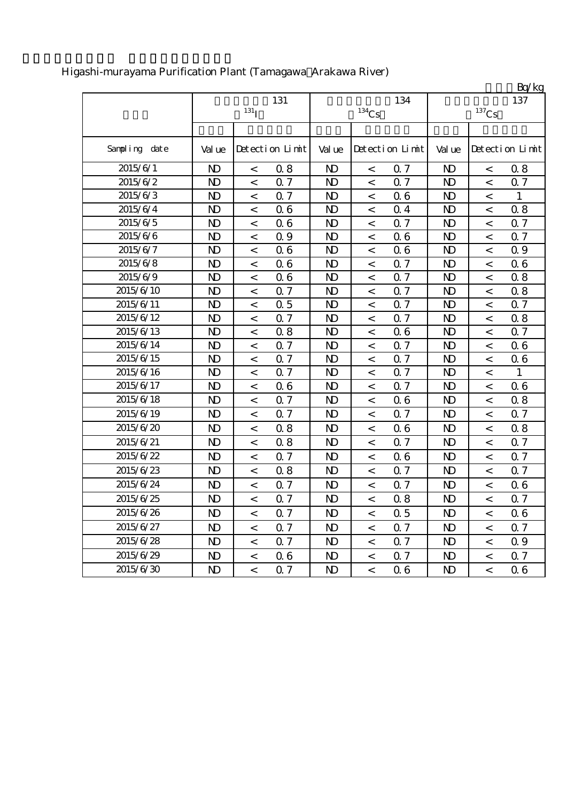|               |                |                          |                 |                |                          |                 |                |                          | Bq/kg           |
|---------------|----------------|--------------------------|-----------------|----------------|--------------------------|-----------------|----------------|--------------------------|-----------------|
|               |                |                          | 131             |                |                          | 134             |                |                          | 137             |
|               |                | 131 <sub>T</sub>         |                 |                | $134$ Cs                 |                 |                | $^{137}\mathrm{Cs}$      |                 |
|               |                |                          |                 |                |                          |                 |                |                          |                 |
| Sampling date | Val ue         |                          | Detection Limit | Val ue         |                          | Detection Limit | Val ue         |                          | Detection Limit |
| 2015/6/1      | $\mathbf{D}$   | $\,<$                    | 0.8             | $\mathbf{D}$   | $\,<$                    | 0.7             | $\mathbf{D}$   | $\,<$                    | 0.8             |
| 2015/6/2      | $\mathbf{D}$   | $\,<\,$                  | Q 7             | $\mathbf{D}$   | $\,<\,$                  | Q 7             | $\mathbf{D}$   | $\,<$                    | 0.7             |
| 2015/6/3      | $\mathbf{D}$   | $\,<\,$                  | 0.7             | $\mathbf{D}$   | $\,<$                    | 06              | $\mathbf{D}$   | $\,<\,$                  | $\mathbf{1}$    |
| 2015/6/4      | $\mathbf{D}$   | $\,<$                    | 06              | $\mathbf{D}$   | $\,<$                    | 0.4             | $\mathbf{D}$   | $\,<\,$                  | 0.8             |
| 2015/6/5      | $\mathbf{D}$   | $\,<\,$                  | 06              | $\mathbf{D}$   | $\,<$                    | 0.7             | $\mathbf{D}$   | $\,<\,$                  | 0.7             |
| 2015/6/6      | $\mathbf{D}$   | $\,<\,$                  | 09              | $\mathbf{D}$   | $\,<\,$                  | 06              | $\mathbf{D}$   | $\,<\,$                  | <b>Q</b> 7      |
| 2015/6/7      | $\mathbf{D}$   | $\,<\,$                  | 06              | $\mathbf{D}$   | $\,<$                    | 06              | $\mathbf{D}$   | $\,<\,$                  | 0.9             |
| 2015/6/8      | $\mathbf{D}$   | $\,<\,$                  | 06              | $\mathbf{D}$   | $\,<\,$                  | Q 7             | $\mathbf{D}$   | $\,<\,$                  | 06              |
| 2015/6/9      | $\mathbf{D}$   | $\,<$                    | 06              | $\mathbf{D}$   | $\,<$                    | Q 7             | $\mathbf{D}$   | $\,<\,$                  | 0.8             |
| 2015/6/10     | $\mathbf{D}$   | $\,<\,$                  | 0.7             | N <sub>D</sub> | $\,<$                    | Q <sub>7</sub>  | $\mathbf{D}$   | $\,<\,$                  | 0.8             |
| 2015/6/11     | $\mathbf{D}$   | $\,<$                    | 0.5             | $\mathbf{D}$   | $\lt$                    | Q <sub>7</sub>  | $\mathbf{D}$   | $\,<\,$                  | 0.7             |
| 2015/6/12     | $\mathbf{D}$   | $\,<$                    | Q 7             | $\mathbf{D}$   | $\,<$                    | Q 7             | $\mathbf{D}$   | $\,<\,$                  | 0.8             |
| 2015/6/13     | $\mathbf{D}$   | $\overline{\phantom{0}}$ | 0.8             | $\mathbf{D}$   | $\,<$                    | 06              | $\mathbf{D}$   | $\overline{\phantom{0}}$ | Q 7             |
| 2015/6/14     | $\mathbf{D}$   | $\,<\,$                  | 0.7             | $\mathbf{D}$   | $\,<$                    | Q <sub>7</sub>  | $\mathbf{D}$   | $\,<\,$                  | 06              |
| 2015/6/15     | N <sub>D</sub> | $\,<\,$                  | 0.7             | $\mathbf{D}$   | $\,<\,$                  | <b>Q</b> 7      | $\mathbf{D}$   | $\,<\,$                  | 06              |
| 2015/6/16     | $\mathbf{D}$   | $\prec$                  | Q <sub>7</sub>  | $\mathbf{D}$   | $\lt$                    | 0.7             | $\mathbf{D}$   | $\,<\,$                  | 1               |
| 2015/6/17     | $\mathbf{D}$   | $\,<$                    | 06              | $\mathbf{D}$   | $\overline{\phantom{a}}$ | 0.7             | $\mathbf{D}$   | $\overline{\phantom{0}}$ | 06              |
| 2015/6/18     | $\mathbf{D}$   | $\lt$                    | 0.7             | $\mathbf{D}$   | $\,<$                    | 06              | $\mathbf{D}$   | $\,<\,$                  | 0.8             |
| 2015/6/19     | $\mathbf{D}$   | $\,<$                    | 0.7             | N <sub>D</sub> | $\lt$                    | 0.7             | $\mathbf{D}$   | $\,<\,$                  | 0.7             |
| 2015/6/20     | $\mathbf{D}$   | $\,<\,$                  | 0.8             | $\mathbf{D}$   | $\,<$                    | 06              | $\mathbf{D}$   | $\,<\,$                  | 0.8             |
| 2015/6/21     | $\mathbf{D}$   | $\,<\,$                  | 0.8             | $\mathbf{D}$   | $\,<$                    | 0.7             | $\mathbf{D}$   | $\,<$                    | <b>Q</b> 7      |
| 2015/6/22     | $\mathbf{D}$   | $\,<$                    | Q <sub>7</sub>  | $\mathbf{D}$   | $\lt$                    | 06              | $\mathbf{D}$   | $\,<\,$                  | Q 7             |
| 2015/6/23     | $\mathbf{D}$   | $\,<\,$                  | 0.8             | $\mathbf{D}$   | $\lt$                    | Q 7             | $\mathbf{D}$   | $\,<\,$                  | Q 7             |
| 2015/6/24     | $\mathbf{D}$   | $\,<\,$                  | 0.7             | $\mathbf{D}$   | $\,<$                    | 0.7             | $\mathbf{D}$   | $\,<$                    | 06              |
| 2015/6/25     | N <sub>D</sub> | $\,<\,$                  | 0.7             | $\mathbf{D}$   | $\,<\,$                  | 0.8             | $\mathbf{D}$   | $\,<\,$                  | 0.7             |
| 2015/6/26     | N <sub>D</sub> | $\,<$                    | 0.7             | N <sub>D</sub> | $\,<\,$                  | 0.5             | N <sub>D</sub> | $\,<\,$                  | 06              |
| 2015/6/27     | $\mathbf{D}$   | $\,<\,$                  | Q 7             | $\mathbf{D}$   | $\lt$                    | 0.7             | $\mathbf{D}$   | $\,<\,$                  | Q 7             |
| 2015/6/28     | $\mathbf{D}$   | $\,<$                    | 0.7             | $\mathbf{D}$   | $\,<$                    | 0.7             | $\mathbf{D}$   | $\,<\,$                  | 0.9             |
| 2015/6/29     | $\mathbf{D}$   | $\,<$                    | 06              | $\mathbf{D}$   | $\overline{\phantom{0}}$ | 0.7             | $\mathbf{D}$   | $\overline{\phantom{a}}$ | 0.7             |
| 2015/6/30     | N <sub>D</sub> | $\overline{a}$           | 0.7             | $\mathbf{D}$   | $\lt$                    | 06              | N <sub>D</sub> | $\lt$                    | 06              |

## Higashi-murayama Purification Plant (Tamagawa Arakawa River)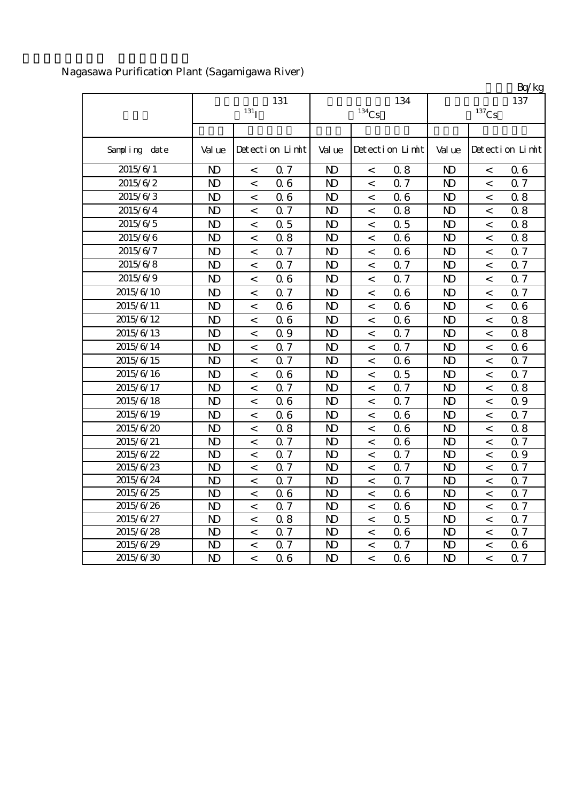|               |                |                  |                 |                |                     |                 |                     |                          | Bq/kg           |  |
|---------------|----------------|------------------|-----------------|----------------|---------------------|-----------------|---------------------|--------------------------|-----------------|--|
|               |                | 131              |                 |                | 134                 | 137             |                     |                          |                 |  |
|               |                | 131 <sub>T</sub> |                 |                | $^{134}\mathrm{Cs}$ |                 | $^{137}\mathrm{Cs}$ |                          |                 |  |
|               |                |                  |                 |                |                     |                 |                     |                          |                 |  |
| Sampling date | Val ue         |                  | Detection Limit | Val ue         |                     | Detection Limit | Val ue              |                          | Detection Limit |  |
| 2015/6/1      | $\mathbf{D}$   | $\,<$            | 0.7             | N <sub>D</sub> | $\,<\,$             | 0.8             | $\mathbf{D}$        | $\,<\,$                  | 06              |  |
| 2015/6/2      | N <sub>D</sub> | $\,<$            | 06              | N <sub>D</sub> | $\lt$               | 0.7             | $\mathbf{D}$        | $\,<\,$                  | 0.7             |  |
| 2015/6/3      | $\mathbf{D}$   | $\,<$            | 06              | $\mathbf{D}$   | $\lt$               | 06              | $\mathbf{D}$        | $\overline{\phantom{a}}$ | 0.8             |  |
| 2015/6/4      | $\mathbf{D}$   | $\,<$            | 0.7             | N <sub>D</sub> | $\,<$               | 0.8             | $\mathbf{D}$        | $\,<\,$                  | 0.8             |  |
| 2015/6/5      | $\mathbf{D}$   | $\,<$            | 0.5             | N <sub>D</sub> | $\,<\,$             | 0.5             | $\mathbf{N}$        | $\,<$                    | 0.8             |  |
| 2015/6/6      | $\mathbf{D}$   | $\,<$            | 0.8             | N <sub>D</sub> | $\,<\,$             | 06              | $\mathbf{D}$        | $\,<\,$                  | 0.8             |  |
| 2015/6/7      | $\mathbf{D}$   | $\,<\,$          | Q 7             | N <sub>D</sub> | $\lt$               | 06              | $\mathbf{D}$        | $\,<\,$                  | Q 7             |  |
| 2015/6/8      | $\mathbf{D}$   | $\,<$            | Q 7             | N <sub>D</sub> | $\,<$               | Q 7             | $\mathbf{D}$        | $\,<\,$                  | 0.7             |  |
| 2015/6/9      | $\mathbf{D}$   | $\,<$            | 06              | $\mathbf{D}$   | $\,<$               | Q <sub>7</sub>  | $\mathbf{D}$        | $\overline{\phantom{a}}$ | 0.7             |  |
| 2015/6/10     | $\mathbf{D}$   | $\overline{a}$   | 0.7             | N <sub>D</sub> | $\lt$               | 06              | $\mathbf{D}$        | $\prec$                  | 0.7             |  |
| 2015/6/11     | $\mathbf{D}$   | $\,<$            | 06              | $\mathbf{D}$   | $\,<$               | 06              | $\mathbf{D}$        | $\,<\,$                  | 06              |  |
| 2015/6/12     | $\mathbf{D}$   | $\,<\,$          | 06              | N <sub>D</sub> | $\,<$               | 06              | $\mathbf{D}$        | $\,<\,$                  | 0.8             |  |
| 2015/6/13     | N <sub>D</sub> | $\,<$            | 0.9             | N <sub>D</sub> | $\,<\,$             | 0.7             | $\mathbf{D}$        | $\,<$                    | 0.8             |  |
| 2015/6/14     | $\mathbf{D}$   | $\,<$            | 0.7             | N <sub>D</sub> | $\,<\,$             | 0.7             | $\mathbf{D}$        | $\,<\,$                  | 06              |  |
| 2015/6/15     | $\mathbf{D}$   | $\,<\,$          | 0.7             | N <sub>D</sub> | $\lt$               | 06              | $\mathbf{D}$        | $\,<\,$                  | 0.7             |  |
| 2015/6/16     | $\mathbf{D}$   | $\,<$            | 06              | N <sub>D</sub> | $\,<$               | 0.5             | $\mathbf{D}$        | $\,<\,$                  | 0.7             |  |
| 2015/6/17     | $\mathbf{D}$   | $\,<\,$          | <b>Q</b> 7      | N <sub>D</sub> | $\,<$               | Q 7             | $\mathbf{D}$        | $\,<\,$                  | 0.8             |  |
| 2015/6/18     | $\mathbf{D}$   | $\,<$            | 06              | $\mathbf{D}$   | $\,<$               | Q 7             | $\mathbf{D}$        | $\,<\,$                  | Q 9             |  |
| 2015/6/19     | N <sub>D</sub> | $\,<\,$          | 06              | N <sub>D</sub> | $\,<$               | 06              | N <sub>D</sub>      | $\,<\,$                  | 0.7             |  |
| 2015/6/20     | N <sub>D</sub> | $\,<\,$          | 0.8             | N <sub>D</sub> | $\,<$               | 06              | N <sub>D</sub>      | $\,<\,$                  | 0.8             |  |
| 2015/6/21     | $\mathbf{D}$   | $\,<$            | 0.7             | N <sub>D</sub> | $\lt$               | 06              | $\mathbf{D}$        | $\,<$                    | 0.7             |  |
| 2015/6/22     | $\mathbf{D}$   | $\,<\,$          | 0.7             | N <sub>D</sub> | $\,<$               | 0.7             | $\mathbf{D}$        | $\,<\,$                  | 0.9             |  |
| 2015/6/23     | $\mathbf{D}$   | $\,<\,$          | 0.7             | N <sub>D</sub> | $\,<$               | 0.7             | $\mathbf{D}$        | $\,<\,$                  | 0.7             |  |
| 2015/6/24     | $\mathbf{D}$   | $\,<\,$          | 0.7             | N <sub>D</sub> | $\,<$               | 0.7             | $\mathbf{D}$        | $\,<\,$                  | 0.7             |  |
| 2015/6/25     | $\mathbf{D}$   | $\,<\,$          | 06              | $\mathbf{D}$   | $\,<$               | 06              | $\mathbf{D}$        | $\,<\,$                  | Q 7             |  |
| 2015/6/26     | $\mathbf{D}$   | $\,<$            | 0.7             | N <sub>D</sub> | $\,<$               | 06              | $\mathbf{D}$        | $\,<$                    | 0.7             |  |
| 2015/6/27     | $\mathbf{D}$   | $\,<$            | 0.8             | N <sub>D</sub> | $\lt$               | 0.5             | $\mathbf{D}$        | $\,<$                    | 0.7             |  |
| 2015/6/28     | $\mathbf{D}$   | $\,<\,$          | 0.7             | N <sub>D</sub> | $\,<$               | 06              | $\mathbf{D}$        | $\,<\,$                  | 0.7             |  |
| 2015/6/29     | $\mathbf{D}$   | $\,<$            | 0.7             | N <sub>D</sub> | $\,<$               | 0.7             | $\mathbf{D}$        | $\,<$                    | 06              |  |
| 2015/6/30     | $\mathbf{D}$   | $\lt$            | 06              | $\mathbf{D}$   | $\lt$               | 06              | $\mathbf{D}$        | $\lt$                    | $\Omega$ 7      |  |

# Nagasawa Purification Plant (Sagamigawa River)